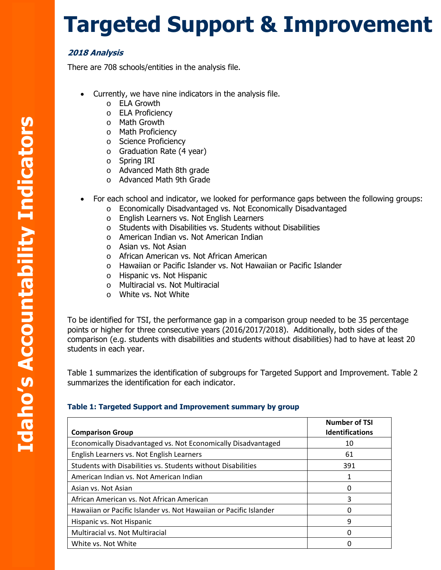## **Targeted Support & Improvement**

## **2018 Analysis**

the contract of the contract of the contract of

There are 708 schools/entities in the analysis file.

- Currently, we have nine indicators in the analysis file.
	- o ELA Growth
	- o ELA Proficiency
	- o Math Growth
	- o Math Proficiency
	- o Science Proficiency
	- o Graduation Rate (4 year)
	- o Spring IRI
	- o Advanced Math 8th grade
	- o Advanced Math 9th Grade
- For each school and indicator, we looked for performance gaps between the following groups:
	- o Economically Disadvantaged vs. Not Economically Disadvantaged
	- o English Learners vs. Not English Learners
	- o Students with Disabilities vs. Students without Disabilities
	- o American Indian vs. Not American Indian
	- o Asian vs. Not Asian
	- o African American vs. Not African American
	- o Hawaiian or Pacific Islander vs. Not Hawaiian or Pacific Islander
	- o Hispanic vs. Not Hispanic
	- o Multiracial vs. Not Multiracial
	- o White vs. Not White

To be identified for TSI, the performance gap in a comparison group needed to be 35 percentage points or higher for three consecutive years (2016/2017/2018). Additionally, both sides of the comparison (e.g. students with disabilities and students without disabilities) had to have at least 20 students in each year.

 summarizes the identification for each indicator. Table 1 summarizes the identification of subgroups for Targeted Support and Improvement. Table 2

## **Table 1: Targeted Support and Improvement summary by group**

| <b>Comparison Group</b>                                           | <b>Number of TSI</b><br><b>Identifications</b> |
|-------------------------------------------------------------------|------------------------------------------------|
| Economically Disadvantaged vs. Not Economically Disadvantaged     | 10                                             |
| English Learners vs. Not English Learners                         | 61                                             |
| Students with Disabilities vs. Students without Disabilities      | 391                                            |
| American Indian vs. Not American Indian                           |                                                |
| Asian vs. Not Asian                                               | O                                              |
| African American vs. Not African American                         | 3                                              |
| Hawaiian or Pacific Islander vs. Not Hawaiian or Pacific Islander |                                                |
| Hispanic vs. Not Hispanic                                         | 9                                              |
| <b>Multiracial vs. Not Multiracial</b>                            |                                                |
| White vs. Not White                                               |                                                |